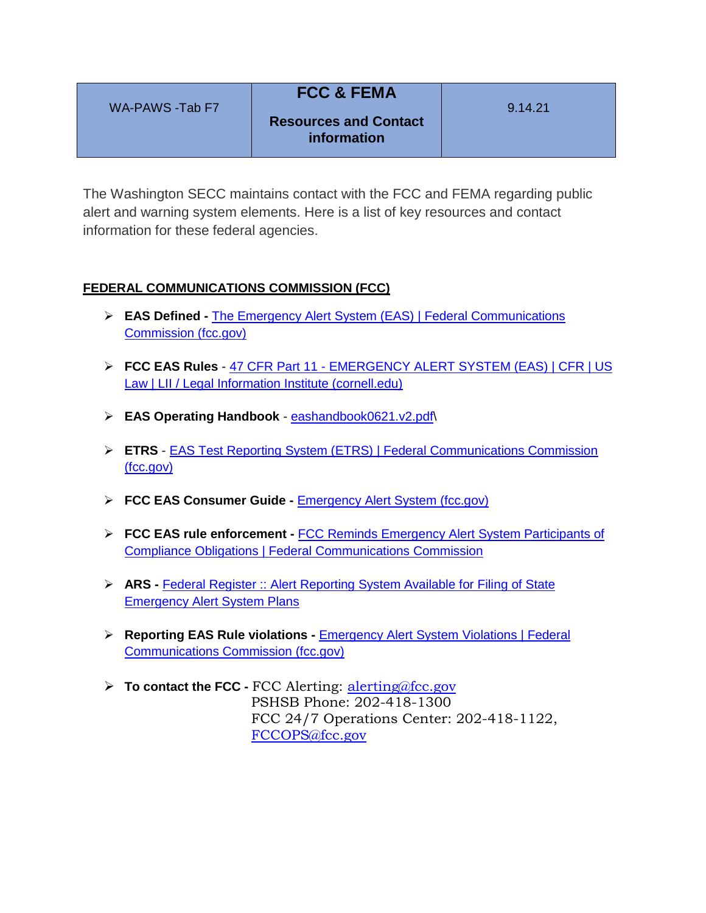| WA-PAWS -Tab F7 | <b>FCC &amp; FEMA</b>        | 9.14.21 |
|-----------------|------------------------------|---------|
|                 | <b>Resources and Contact</b> |         |
|                 | information                  |         |

The Washington SECC maintains contact with the FCC and FEMA regarding public alert and warning system elements. Here is a list of key resources and contact information for these federal agencies.

## **FEDERAL COMMUNICATIONS COMMISSION (FCC)**

- **EAS Defined -** [The Emergency Alert System \(EAS\) | Federal Communications](https://www.fcc.gov/emergency-alert-system)  [Commission \(fcc.gov\)](https://www.fcc.gov/emergency-alert-system)
- **FCC EAS Rules** 47 CFR Part 11 [EMERGENCY ALERT SYSTEM](https://www.law.cornell.edu/cfr/text/47/part-11) (EAS) | CFR | US [Law | LII / Legal Information Institute \(cornell.edu\)](https://www.law.cornell.edu/cfr/text/47/part-11)
- **EAS Operating Handbook** [eashandbook0621.v2.pdf\](file:///C:/Users/Clay/Downloads/eashandbook0621.v2.pdf)
- **ETRS** [EAS Test Reporting System \(ETRS\) | Federal Communications Commission](https://www.fcc.gov/general/eas-test-reporting-system)  [\(fcc.gov\)](https://www.fcc.gov/general/eas-test-reporting-system)
- **FCC EAS Consumer Guide -** [Emergency Alert System \(fcc.gov\)](https://www.fcc.gov/sites/default/files/emergency_alert_system_eas.pdf)
- **FCC EAS rule enforcement -** [FCC Reminds Emergency Alert System Participants of](https://www.fcc.gov/fcc-reminds-emergency-alert-system-participants-compliance-obligations)  [Compliance Obligations | Federal Communications Commission](https://www.fcc.gov/fcc-reminds-emergency-alert-system-participants-compliance-obligations)
- **ARS -** [Federal Register :: Alert Reporting System Available for Filing of State](https://www.federalregister.gov/documents/2021/07/01/2021-14049/alert-reporting-system-available-for-filing-of-state-emergency-alert-system-plans)  **[Emergency Alert System Plans](https://www.federalregister.gov/documents/2021/07/01/2021-14049/alert-reporting-system-available-for-filing-of-state-emergency-alert-system-plans)**
- **Reporting EAS Rule violations -** [Emergency Alert System Violations | Federal](https://www.fcc.gov/emergency-alert-system-violations)  [Communications Commission \(fcc.gov\)](https://www.fcc.gov/emergency-alert-system-violations)
- **To contact the FCC -** FCC Alerting: [alerting@fcc.gov](mailto:alerting@fcc.gov) PSHSB Phone: 202-418-1300 FCC 24/7 Operations Center: 202-418-1122, [FCCOPS@fcc.gov](mailto:FCCOPS@fcc.gov)